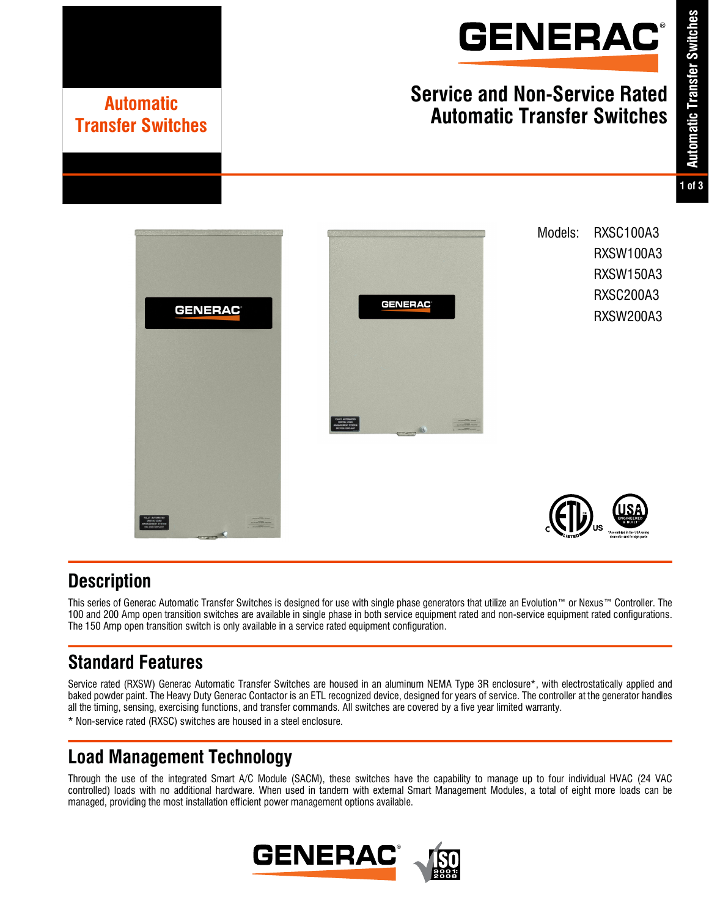

# **Service and Non-Service Rated Automatic Transfer Switches Automatic**

**GENERAC** 

Models: RXSC100A3 RXSW100A3 RXSW150A3 RXSC200A3 RXSW200A3



## **Description**

This series of Generac Automatic Transfer Switches is designed for use with single phase generators that utilize an Evolution™ or Nexus™ Controller. The 100 and 200 Amp open transition switches are available in single phase in both service equipment rated and non-service equipment rated configurations. The 150 Amp open transition switch is only available in a service rated equipment configuration.

## **Standard Features**

**Transfer Switches**

**GENERAC** 

Service rated (RXSW) Generac Automatic Transfer Switches are housed in an aluminum NEMA Type 3R enclosure\*, with electrostatically applied and baked powder paint. The Heavy Duty Generac Contactor is an ETL recognized device, designed for years of service. The controller at the generator handles all the timing, sensing, exercising functions, and transfer commands. All switches are covered by a five year limited warranty. \* Non-service rated (RXSC) switches are housed in a steel enclosure.

## **Load Management Technology**

Through the use of the integrated Smart A/C Module (SACM), these switches have the capability to manage up to four individual HVAC (24 VAC controlled) loads with no additional hardware. When used in tandem with external Smart Management Modules, a total of eight more loads can be managed, providing the most installation efficient power management options available.

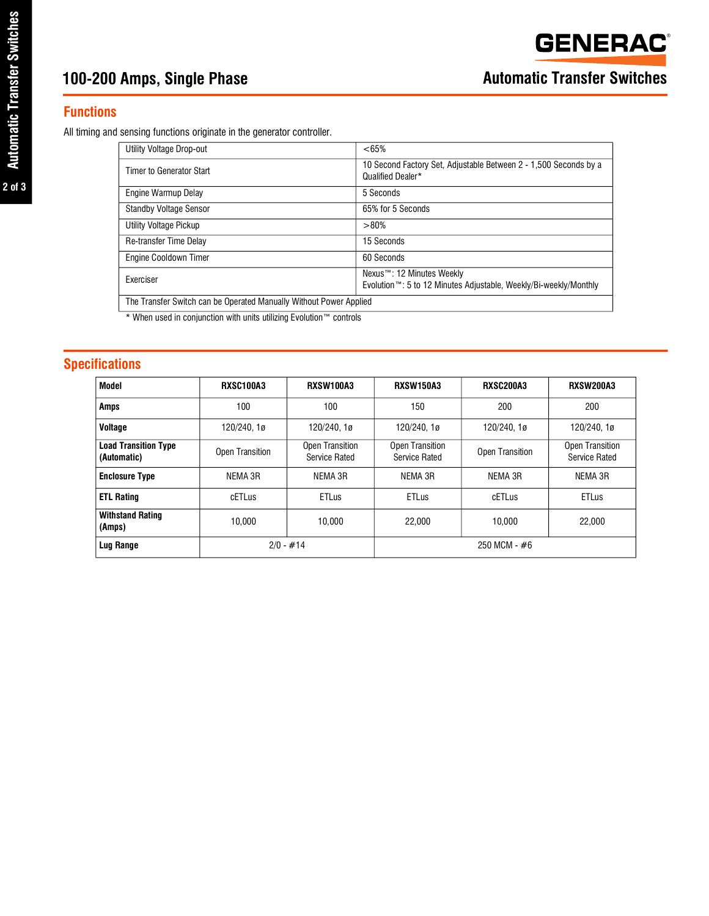#### **Functions**

All timing and sensing functions originate in the generator controller.

| Utility Voltage Drop-out                                           | <65%                                                                                                       |  |  |  |  |  |
|--------------------------------------------------------------------|------------------------------------------------------------------------------------------------------------|--|--|--|--|--|
| Timer to Generator Start                                           | 10 Second Factory Set, Adjustable Between 2 - 1,500 Seconds by a<br>Qualified Dealer*                      |  |  |  |  |  |
| Engine Warmup Delay                                                | 5 Seconds                                                                                                  |  |  |  |  |  |
| <b>Standby Voltage Sensor</b>                                      | 65% for 5 Seconds                                                                                          |  |  |  |  |  |
| Utility Voltage Pickup                                             | >80%                                                                                                       |  |  |  |  |  |
| Re-transfer Time Delay                                             | 15 Seconds                                                                                                 |  |  |  |  |  |
| Engine Cooldown Timer                                              | 60 Seconds                                                                                                 |  |  |  |  |  |
| Exerciser                                                          | Nexus™: 12 Minutes Weekly<br>Evolution <sup>™</sup> : 5 to 12 Minutes Adjustable, Weekly/Bi-weekly/Monthly |  |  |  |  |  |
| The Transfer Switch can be Operated Manually Without Power Applied |                                                                                                            |  |  |  |  |  |

\* When used in conjunction with units utilizing Evolution™ controls

### **Specifications**

| <b>Model</b>                               | RXSC100A3       | <b>RXSW100A3</b>                 | <b>RXSW150A3</b>                        | <b>RXSC200A3</b> | <b>RXSW200A3</b>                        |  |
|--------------------------------------------|-----------------|----------------------------------|-----------------------------------------|------------------|-----------------------------------------|--|
| <b>Amps</b>                                | 100             | 100                              | 150                                     | 200              | 200                                     |  |
| Voltage                                    | 120/240, 1ø     | 120/240, 1ø                      | 120/240, 1ø                             | 120/240, 1ø      | 120/240.1ø                              |  |
| <b>Load Transition Type</b><br>(Automatic) | Open Transition | Open Transition<br>Service Rated | <b>Open Transition</b><br>Service Rated | Open Transition  | Open Transition<br><b>Service Rated</b> |  |
| <b>Enclosure Type</b>                      | NEMA 3R         | NEMA 3R                          | NEMA 3R                                 | NEMA 3R          | NEMA 3R                                 |  |
| <b>ETL Rating</b>                          | cETLus          | <b>ETLus</b>                     | <b>ETLus</b>                            | cETLus           | <b>ETLus</b>                            |  |
| <b>Withstand Rating</b><br>(Amps)          | 10.000          | 10.000                           | 22,000                                  | 10.000           | 22,000                                  |  |
| Lug Range                                  |                 | $2/0 - #14$                      | 250 MCM - #6                            |                  |                                         |  |

**2 of 3**